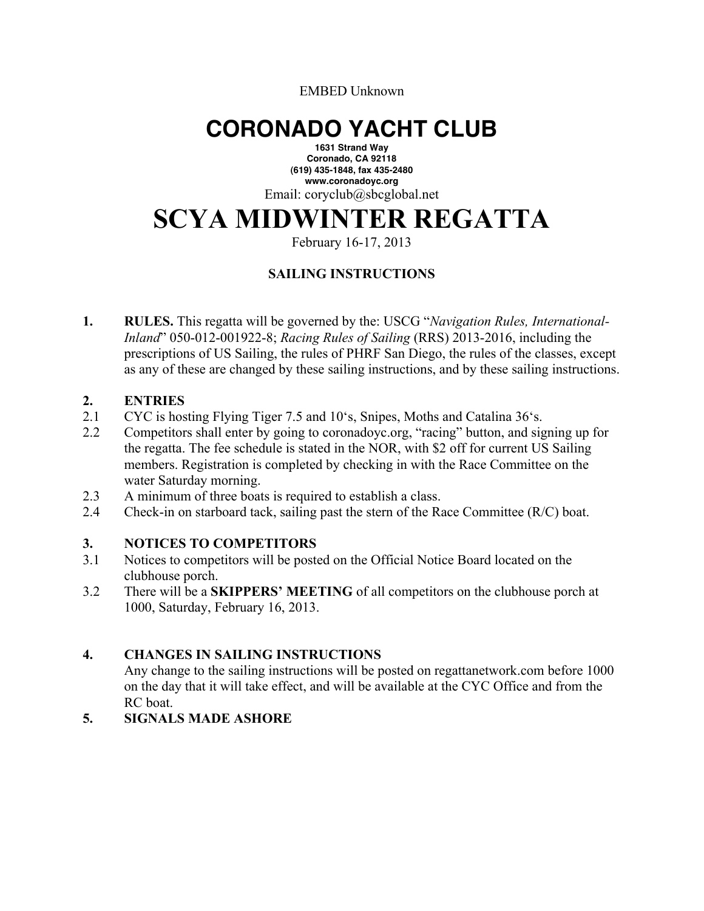EMBED Unknown

## **CORONADO YACHT CLUB**

**1631 Strand Way Coronado, CA 92118 (619) 435-1848, fax 435-2480 www.coronadoyc.org** Email: coryclub@sbcglobal.net

# **SCYA MIDWINTER REGATTA**

February 16-17, 2013

## **SAILING INSTRUCTIONS**

**1. RULES.** This regatta will be governed by the: USCG "*Navigation Rules, International-Inland*" 050-012-001922-8; *Racing Rules of Sailing* (RRS) 2013-2016, including the prescriptions of US Sailing, the rules of PHRF San Diego, the rules of the classes, except as any of these are changed by these sailing instructions, and by these sailing instructions.

#### **2. ENTRIES**

- 2.1 CYC is hosting Flying Tiger 7.5 and 10's, Snipes, Moths and Catalina 36's.
- 2.2 Competitors shall enter by going to coronadoyc.org, "racing" button, and signing up for the regatta. The fee schedule is stated in the NOR, with \$2 off for current US Sailing members. Registration is completed by checking in with the Race Committee on the water Saturday morning.
- 2.3 A minimum of three boats is required to establish a class.
- 2.4 Check-in on starboard tack, sailing past the stern of the Race Committee (R/C) boat.

#### **3. NOTICES TO COMPETITORS**

- 3.1 Notices to competitors will be posted on the Official Notice Board located on the clubhouse porch.
- 3.2 There will be a **SKIPPERS' MEETING** of all competitors on the clubhouse porch at 1000, Saturday, February 16, 2013.

#### **4. CHANGES IN SAILING INSTRUCTIONS**

Any change to the sailing instructions will be posted on regattanetwork.com before 1000 on the day that it will take effect, and will be available at the CYC Office and from the RC boat.

## **5. SIGNALS MADE ASHORE**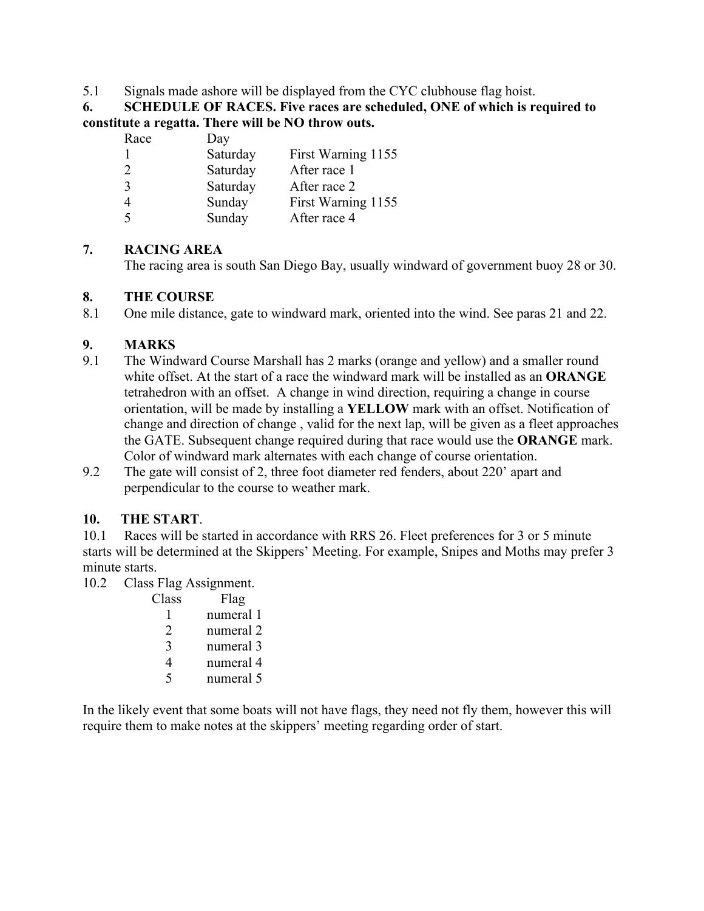#### 5.1 Signals made ashore will be displayed from the CYC clubhouse flag hoist.

**6. SCHEDULE OF RACES. Five races are scheduled, ONE of which is required to constitute a regatta. There will be NO throw outs.**

| Race           | Day      |                    |
|----------------|----------|--------------------|
|                | Saturday | First Warning 1155 |
| $\overline{2}$ | Saturday | After race 1       |
| 3              | Saturday | After race 2       |
| $\overline{4}$ | Sunday   | First Warning 1155 |
| 5              | Sunday   | After race 4       |

## **7. RACING AREA**

The racing area is south San Diego Bay, usually windward of government buoy 28 or 30.

## **8. THE COURSE**

8.1 One mile distance, gate to windward mark, oriented into the wind. See paras 21 and 22.

## **9. MARKS**

- 9.1 The Windward Course Marshall has 2 marks (orange and yellow) and a smaller round white offset. At the start of a race the windward mark will be installed as an **ORANGE** tetrahedron with an offset. A change in wind direction, requiring a change in course orientation, will be made by installing a **YELLOW** mark with an offset. Notification of change and direction of change , valid for the next lap, will be given as a fleet approaches the GATE. Subsequent change required during that race would use the **ORANGE** mark. Color of windward mark alternates with each change of course orientation.
- 9.2 The gate will consist of 2, three foot diameter red fenders, about 220' apart and perpendicular to the course to weather mark.

## **10. THE START**.

10.1 Races will be started in accordance with RRS 26. Fleet preferences for 3 or 5 minute starts will be determined at the Skippers' Meeting. For example, Snipes and Moths may prefer 3 minute starts.

10.2 Class Flag Assignment.

| Class         | Flag      |
|---------------|-----------|
|               | numeral 1 |
| $\mathcal{L}$ | numeral 2 |
| 3             | numeral 3 |
|               | numeral 4 |
|               | numeral 5 |

In the likely event that some boats will not have flags, they need not fly them, however this will require them to make notes at the skippers' meeting regarding order of start.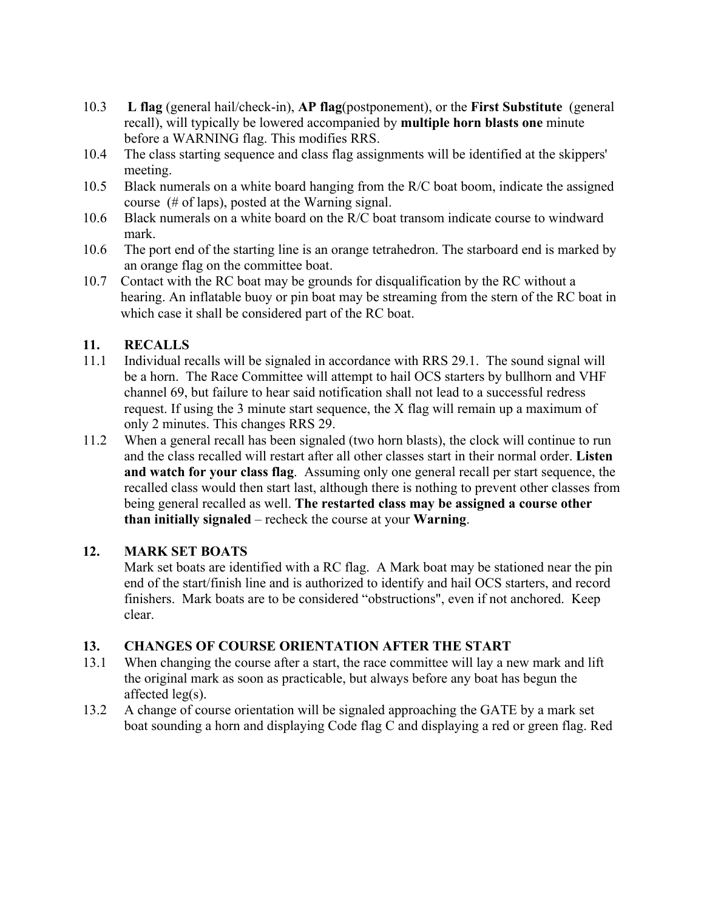- 10.3 **L flag** (general hail/check-in), **AP flag**(postponement), or the **First Substitute** (general recall), will typically be lowered accompanied by **multiple horn blasts one** minute before a WARNING flag. This modifies RRS.
- 10.4 The class starting sequence and class flag assignments will be identified at the skippers' meeting.
- 10.5 Black numerals on a white board hanging from the R/C boat boom, indicate the assigned course (# of laps), posted at the Warning signal.
- 10.6 Black numerals on a white board on the R/C boat transom indicate course to windward mark.
- 10.6 The port end of the starting line is an orange tetrahedron. The starboard end is marked by an orange flag on the committee boat.
- 10.7 Contact with the RC boat may be grounds for disqualification by the RC without a hearing. An inflatable buoy or pin boat may be streaming from the stern of the RC boat in which case it shall be considered part of the RC boat.

## **11. RECALLS**

- 11.1 Individual recalls will be signaled in accordance with RRS 29.1. The sound signal will be a horn. The Race Committee will attempt to hail OCS starters by bullhorn and VHF channel 69, but failure to hear said notification shall not lead to a successful redress request. If using the 3 minute start sequence, the X flag will remain up a maximum of only 2 minutes. This changes RRS 29.
- 11.2 When a general recall has been signaled (two horn blasts), the clock will continue to run and the class recalled will restart after all other classes start in their normal order. **Listen and watch for your class flag**. Assuming only one general recall per start sequence, the recalled class would then start last, although there is nothing to prevent other classes from being general recalled as well. **The restarted class may be assigned a course other than initially signaled** – recheck the course at your **Warning**.

## **12. MARK SET BOATS**

Mark set boats are identified with a RC flag. A Mark boat may be stationed near the pin end of the start/finish line and is authorized to identify and hail OCS starters, and record finishers. Mark boats are to be considered "obstructions", even if not anchored. Keep clear.

## **13. CHANGES OF COURSE ORIENTATION AFTER THE START**

- 13.1 When changing the course after a start, the race committee will lay a new mark and lift the original mark as soon as practicable, but always before any boat has begun the affected leg(s).
- 13.2 A change of course orientation will be signaled approaching the GATE by a mark set boat sounding a horn and displaying Code flag C and displaying a red or green flag. Red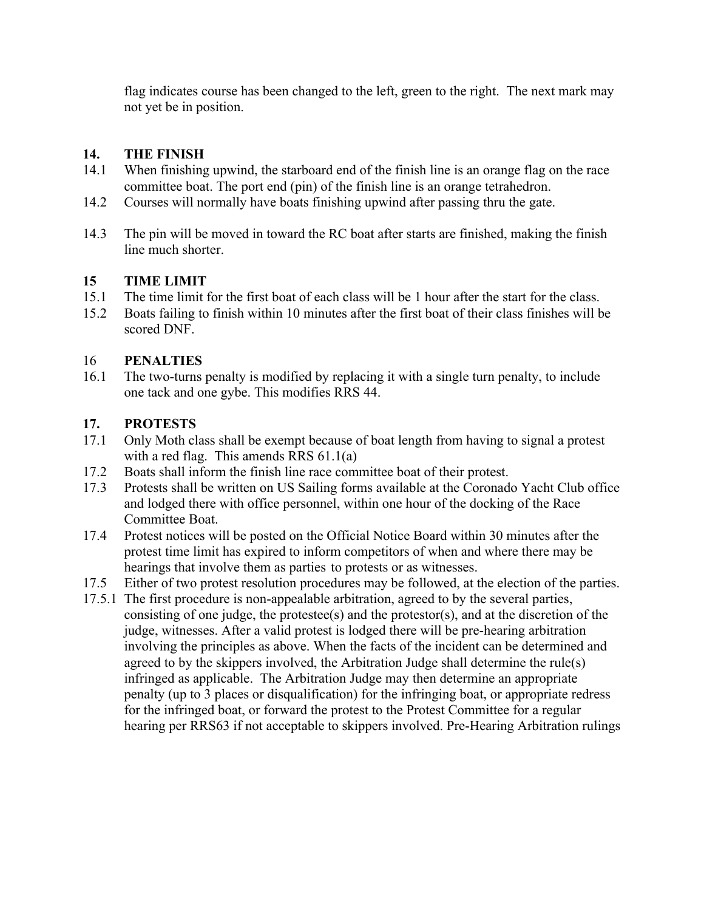flag indicates course has been changed to the left, green to the right. The next mark may not yet be in position.

#### **14. THE FINISH**

- 14.1 When finishing upwind, the starboard end of the finish line is an orange flag on the race committee boat. The port end (pin) of the finish line is an orange tetrahedron.
- 14.2 Courses will normally have boats finishing upwind after passing thru the gate.
- 14.3 The pin will be moved in toward the RC boat after starts are finished, making the finish line much shorter.

## **15 TIME LIMIT**

- 15.1 The time limit for the first boat of each class will be 1 hour after the start for the class.
- 15.2 Boats failing to finish within 10 minutes after the first boat of their class finishes will be scored DNF.

## 16 **PENALTIES**

16.1 The two-turns penalty is modified by replacing it with a single turn penalty, to include one tack and one gybe. This modifies RRS 44.

## **17. PROTESTS**

- 17.1 Only Moth class shall be exempt because of boat length from having to signal a protest with a red flag. This amends RRS 61.1(a)
- 17.2 Boats shall inform the finish line race committee boat of their protest.
- 17.3 Protests shall be written on US Sailing forms available at the Coronado Yacht Club office and lodged there with office personnel, within one hour of the docking of the Race Committee Boat.
- 17.4 Protest notices will be posted on the Official Notice Board within 30 minutes after the protest time limit has expired to inform competitors of when and where there may be hearings that involve them as parties to protests or as witnesses.
- 17.5 Either of two protest resolution procedures may be followed, at the election of the parties.
- 17.5.1 The first procedure is non-appealable arbitration, agreed to by the several parties, consisting of one judge, the protestee(s) and the protestor(s), and at the discretion of the judge, witnesses. After a valid protest is lodged there will be pre-hearing arbitration involving the principles as above. When the facts of the incident can be determined and agreed to by the skippers involved, the Arbitration Judge shall determine the rule(s) infringed as applicable. The Arbitration Judge may then determine an appropriate penalty (up to 3 places or disqualification) for the infringing boat, or appropriate redress for the infringed boat, or forward the protest to the Protest Committee for a regular hearing per RRS63 if not acceptable to skippers involved. Pre-Hearing Arbitration rulings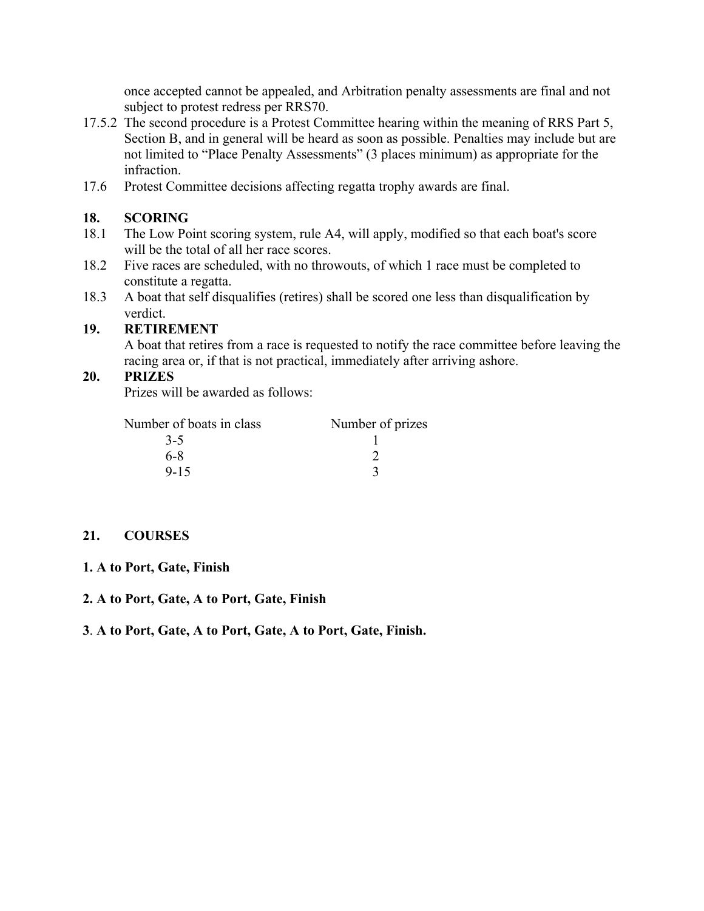once accepted cannot be appealed, and Arbitration penalty assessments are final and not subject to protest redress per RRS70.

- 17.5.2 The second procedure is a Protest Committee hearing within the meaning of RRS Part 5, Section B, and in general will be heard as soon as possible. Penalties may include but are not limited to "Place Penalty Assessments" (3 places minimum) as appropriate for the infraction.
- 17.6 Protest Committee decisions affecting regatta trophy awards are final.

#### **18. SCORING**

- 18.1 The Low Point scoring system, rule A4, will apply, modified so that each boat's score will be the total of all her race scores.
- 18.2 Five races are scheduled, with no throwouts, of which 1 race must be completed to constitute a regatta.
- 18.3 A boat that self disqualifies (retires) shall be scored one less than disqualification by verdict.

#### **19. RETIREMENT**

A boat that retires from a race is requested to notify the race committee before leaving the racing area or, if that is not practical, immediately after arriving ashore.

#### **20. PRIZES**

Prizes will be awarded as follows:

| Number of boats in class | Number of prizes |  |
|--------------------------|------------------|--|
| $3-5$                    |                  |  |
| 6-8                      |                  |  |
| $9 - 15$                 |                  |  |

#### **21. COURSES**

#### **1. A to Port, Gate, Finish**

#### **2. A to Port, Gate, A to Port, Gate, Finish**

#### **3**. **A to Port, Gate, A to Port, Gate, A to Port, Gate, Finish.**